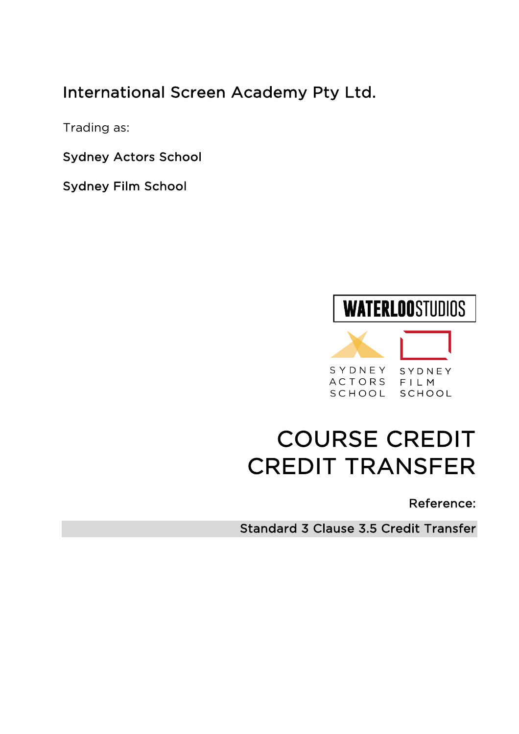# International Screen Academy Pty Ltd.

Trading as:

Sydney Actors School

Sydney Film School

# **WATERLOOSTUDIOS** SYDNEY SYDNEY ACTORS FILM SCHOOL SCHOOL

# COURSE CREDIT CREDIT TRANSFER

# Reference:

Standard 3 Clause 3.5 Credit Transfer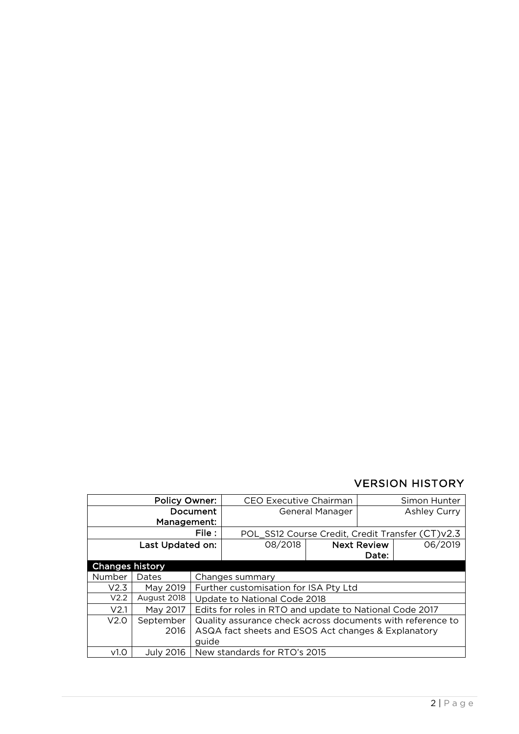# VERSION HISTORY

| <b>Policy Owner:</b>   |             | <b>CEO Executive Chairman</b>                              |                              | Simon Hunter |                    |                                                  |
|------------------------|-------------|------------------------------------------------------------|------------------------------|--------------|--------------------|--------------------------------------------------|
| Document               |             | General Manager                                            |                              |              | Ashley Curry       |                                                  |
| Management:            |             |                                                            |                              |              |                    |                                                  |
| File :                 |             |                                                            |                              |              |                    | POL_SS12 Course Credit, Credit Transfer (CT)v2.3 |
| Last Updated on:       |             |                                                            | 08/2018                      |              | <b>Next Review</b> | 06/2019                                          |
|                        |             |                                                            |                              |              | Date:              |                                                  |
| <b>Changes history</b> |             |                                                            |                              |              |                    |                                                  |
| Number                 | Dates       |                                                            | Changes summary              |              |                    |                                                  |
| V <sub>2.3</sub>       | May 2019    | Further customisation for ISA Pty Ltd                      |                              |              |                    |                                                  |
| V <sub>2.2</sub>       | August 2018 | Update to National Code 2018                               |                              |              |                    |                                                  |
| V <sub>2.1</sub>       | May 2017    | Edits for roles in RTO and update to National Code 2017    |                              |              |                    |                                                  |
| V <sub>2.0</sub>       | September   | Quality assurance check across documents with reference to |                              |              |                    |                                                  |
|                        | 2016        | ASQA fact sheets and ESOS Act changes & Explanatory        |                              |              |                    |                                                  |
|                        |             | quide                                                      |                              |              |                    |                                                  |
| V <sub>1.0</sub>       | July 2016   |                                                            | New standards for RTO's 2015 |              |                    |                                                  |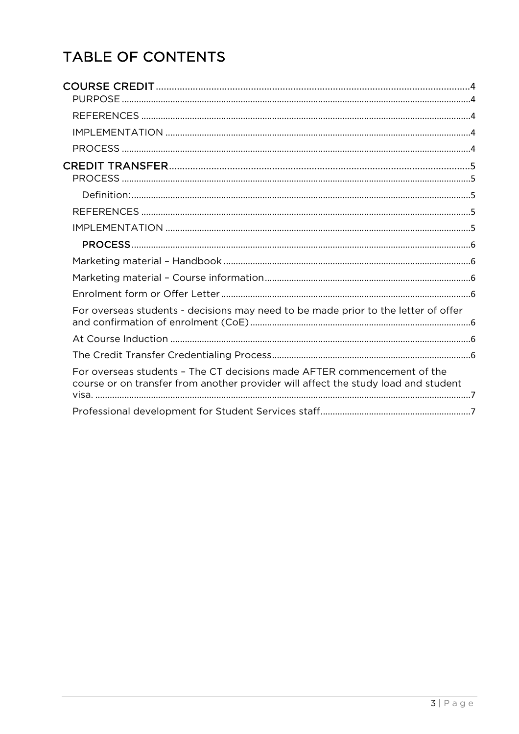# TABLE OF CONTENTS

| For overseas students - decisions may need to be made prior to the letter of offer                                                                            |  |
|---------------------------------------------------------------------------------------------------------------------------------------------------------------|--|
|                                                                                                                                                               |  |
|                                                                                                                                                               |  |
| For overseas students - The CT decisions made AFTER commencement of the<br>course or on transfer from another provider will affect the study load and student |  |
|                                                                                                                                                               |  |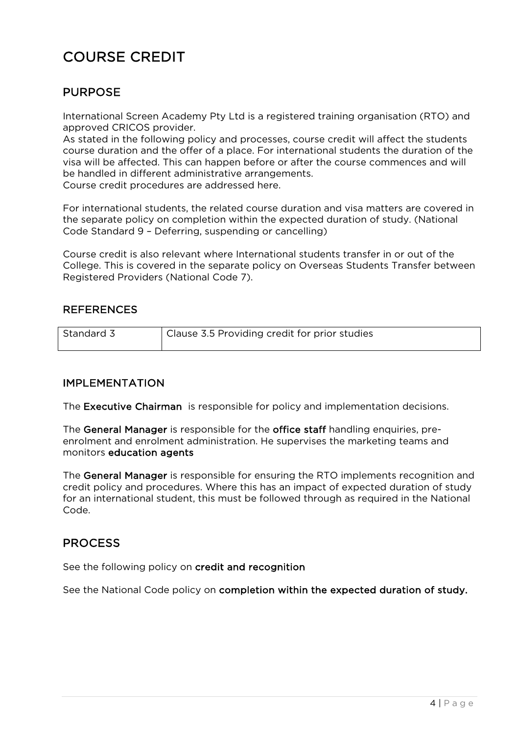# COURSE CREDIT

# PURPOSE

International Screen Academy Pty Ltd is a registered training organisation (RTO) and approved CRICOS provider.

As stated in the following policy and processes, course credit will affect the students course duration and the offer of a place. For international students the duration of the visa will be affected. This can happen before or after the course commences and will be handled in different administrative arrangements.

Course credit procedures are addressed here.

For international students, the related course duration and visa matters are covered in the separate policy on completion within the expected duration of study. (National Code Standard 9 – Deferring, suspending or cancelling)

Course credit is also relevant where International students transfer in or out of the College. This is covered in the separate policy on Overseas Students Transfer between Registered Providers (National Code 7).

### **REFERENCES**

| Standard 3 | Clause 3.5 Providing credit for prior studies |
|------------|-----------------------------------------------|
|            |                                               |

### IMPLEMENTATION

The Executive Chairman is responsible for policy and implementation decisions.

The General Manager is responsible for the office staff handling enquiries, preenrolment and enrolment administration. He supervises the marketing teams and monitors education agents

The General Manager is responsible for ensuring the RTO implements recognition and credit policy and procedures. Where this has an impact of expected duration of study for an international student, this must be followed through as required in the National Code.

## PROCESS

See the following policy on credit and recognition

See the National Code policy on completion within the expected duration of study.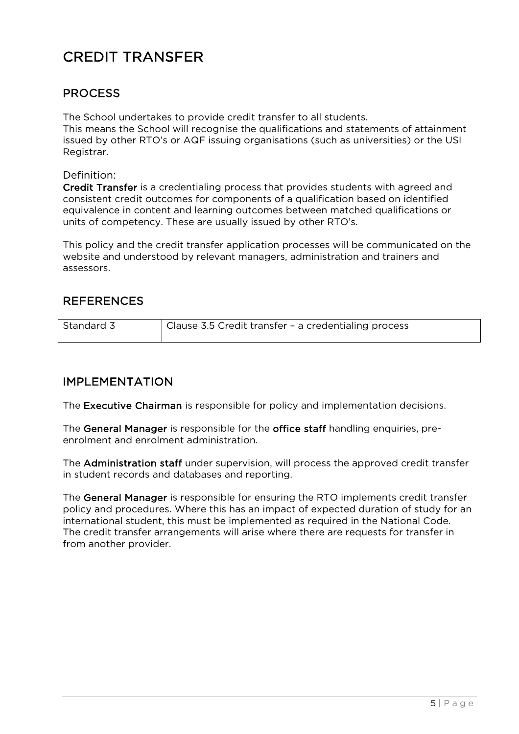# CREDIT TRANSFER

# **PROCESS**

The School undertakes to provide credit transfer to all students. This means the School will recognise the qualifications and statements of attainment issued by other RTO's or AQF issuing organisations (such as universities) or the USI Registrar.

Definition:

Credit Transfer is a credentialing process that provides students with agreed and consistent credit outcomes for components of a qualification based on identified equivalence in content and learning outcomes between matched qualifications or units of competency. These are usually issued by other RTO's.

This policy and the credit transfer application processes will be communicated on the website and understood by relevant managers, administration and trainers and assessors.

# **REFERENCES**

| Standard 3 | Clause 3.5 Credit transfer - a credentialing process |
|------------|------------------------------------------------------|
|            |                                                      |

### IMPLEMENTATION

The Executive Chairman is responsible for policy and implementation decisions.

The General Manager is responsible for the office staff handling enquiries, preenrolment and enrolment administration.

The Administration staff under supervision, will process the approved credit transfer in student records and databases and reporting.

The General Manager is responsible for ensuring the RTO implements credit transfer policy and procedures. Where this has an impact of expected duration of study for an international student, this must be implemented as required in the National Code. The credit transfer arrangements will arise where there are requests for transfer in from another provider.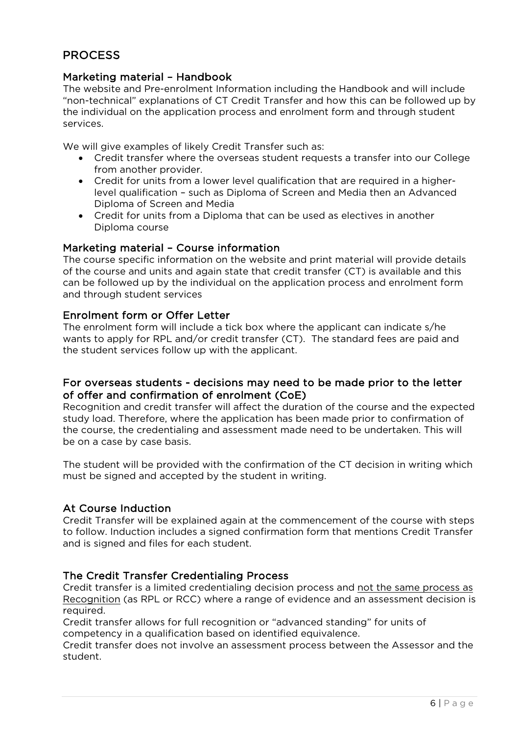# PROCESS

### Marketing material – Handbook

The website and Pre-enrolment Information including the Handbook and will include "non-technical" explanations of CT Credit Transfer and how this can be followed up by the individual on the application process and enrolment form and through student services.

We will give examples of likely Credit Transfer such as:

- Credit transfer where the overseas student requests a transfer into our College from another provider.
- Credit for units from a lower level qualification that are required in a higherlevel qualification – such as Diploma of Screen and Media then an Advanced Diploma of Screen and Media
- Credit for units from a Diploma that can be used as electives in another Diploma course

#### Marketing material – Course information

The course specific information on the website and print material will provide details of the course and units and again state that credit transfer (CT) is available and this can be followed up by the individual on the application process and enrolment form and through student services

#### Enrolment form or Offer Letter

The enrolment form will include a tick box where the applicant can indicate s/he wants to apply for RPL and/or credit transfer (CT). The standard fees are paid and the student services follow up with the applicant.

#### For overseas students - decisions may need to be made prior to the letter of offer and confirmation of enrolment (CoE)

Recognition and credit transfer will affect the duration of the course and the expected study load. Therefore, where the application has been made prior to confirmation of the course, the credentialing and assessment made need to be undertaken. This will be on a case by case basis.

The student will be provided with the confirmation of the CT decision in writing which must be signed and accepted by the student in writing.

#### At Course Induction

Credit Transfer will be explained again at the commencement of the course with steps to follow. Induction includes a signed confirmation form that mentions Credit Transfer and is signed and files for each student.

#### The Credit Transfer Credentialing Process

Credit transfer is a limited credentialing decision process and not the same process as Recognition (as RPL or RCC) where a range of evidence and an assessment decision is required.

Credit transfer allows for full recognition or "advanced standing" for units of competency in a qualification based on identified equivalence.

Credit transfer does not involve an assessment process between the Assessor and the student.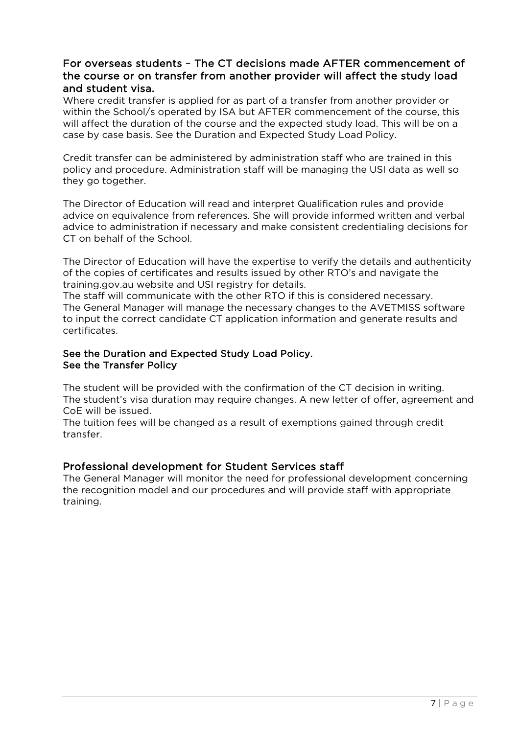### For overseas students – The CT decisions made AFTER commencement of the course or on transfer from another provider will affect the study load and student visa.

Where credit transfer is applied for as part of a transfer from another provider or within the School/s operated by ISA but AFTER commencement of the course, this will affect the duration of the course and the expected study load. This will be on a case by case basis. See the Duration and Expected Study Load Policy.

Credit transfer can be administered by administration staff who are trained in this policy and procedure. Administration staff will be managing the USI data as well so they go together.

The Director of Education will read and interpret Qualification rules and provide advice on equivalence from references. She will provide informed written and verbal advice to administration if necessary and make consistent credentialing decisions for CT on behalf of the School.

The Director of Education will have the expertise to verify the details and authenticity of the copies of certificates and results issued by other RTO's and navigate the training.gov.au website and USI registry for details.

The staff will communicate with the other RTO if this is considered necessary. The General Manager will manage the necessary changes to the AVETMISS software to input the correct candidate CT application information and generate results and certificates.

#### See the Duration and Expected Study Load Policy. See the Transfer Policy

The student will be provided with the confirmation of the CT decision in writing. The student's visa duration may require changes. A new letter of offer, agreement and CoE will be issued.

The tuition fees will be changed as a result of exemptions gained through credit transfer.

### Professional development for Student Services staff

The General Manager will monitor the need for professional development concerning the recognition model and our procedures and will provide staff with appropriate training.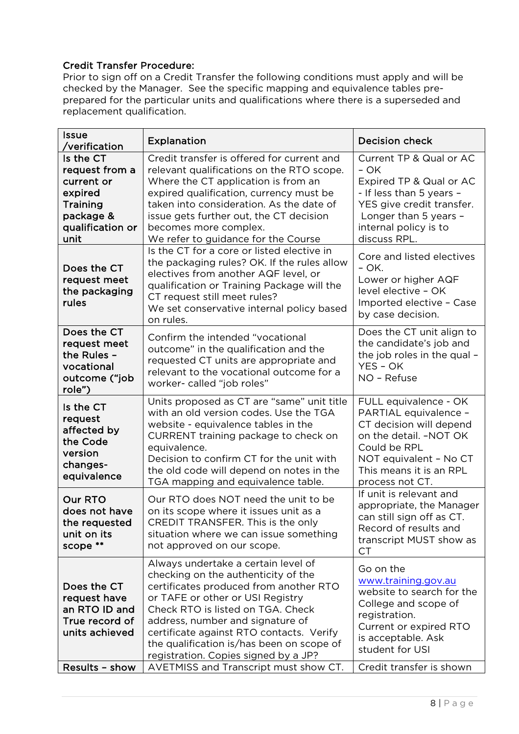#### Credit Transfer Procedure:

Prior to sign off on a Credit Transfer the following conditions must apply and will be checked by the Manager. See the specific mapping and equivalence tables preprepared for the particular units and qualifications where there is a superseded and replacement qualification.

| <b>Issue</b><br>/verification                                                                             | <b>Explanation</b>                                                                                                                                                                                                                                                                                                                                                 | <b>Decision check</b>                                                                                                                                                                       |
|-----------------------------------------------------------------------------------------------------------|--------------------------------------------------------------------------------------------------------------------------------------------------------------------------------------------------------------------------------------------------------------------------------------------------------------------------------------------------------------------|---------------------------------------------------------------------------------------------------------------------------------------------------------------------------------------------|
| Is the CT<br>request from a<br>current or<br>expired<br>Training<br>package &<br>qualification or<br>unit | Credit transfer is offered for current and<br>relevant qualifications on the RTO scope.<br>Where the CT application is from an<br>expired qualification, currency must be<br>taken into consideration. As the date of<br>issue gets further out, the CT decision<br>becomes more complex.<br>We refer to guidance for the Course                                   | Current TP & Qual or AC<br>- OK<br>Expired TP & Qual or AC<br>- If less than 5 years -<br>YES give credit transfer.<br>Longer than 5 years -<br>internal policy is to<br>discuss RPL.       |
| Does the CT<br>request meet<br>the packaging<br>rules                                                     | Is the CT for a core or listed elective in<br>the packaging rules? OK. If the rules allow<br>electives from another AQF level, or<br>qualification or Training Package will the<br>CT request still meet rules?<br>We set conservative internal policy based<br>on rules.                                                                                          | Core and listed electives<br>- OK.<br>Lower or higher AQF<br>level elective - OK<br>Imported elective - Case<br>by case decision.                                                           |
| Does the CT<br>request meet<br>the Rules -<br>vocational<br>outcome ("job<br>role")                       | Confirm the intended "vocational<br>outcome" in the qualification and the<br>requested CT units are appropriate and<br>relevant to the vocational outcome for a<br>worker- called "job roles"                                                                                                                                                                      | Does the CT unit align to<br>the candidate's job and<br>the job roles in the qual -<br>YES - OK<br>NO - Refuse                                                                              |
| Is the CT<br>request<br>affected by<br>the Code<br>version<br>changes-<br>equivalence                     | Units proposed as CT are "same" unit title<br>with an old version codes. Use the TGA<br>website - equivalence tables in the<br>CURRENT training package to check on<br>equivalence.<br>Decision to confirm CT for the unit with<br>the old code will depend on notes in the<br>TGA mapping and equivalence table.                                                  | FULL equivalence - OK<br>PARTIAL equivalence -<br>CT decision will depend<br>on the detail. -NOT OK<br>Could be RPL<br>NOT equivalent - No CT<br>This means it is an RPL<br>process not CT. |
| <b>Our RTO</b><br>does not have<br>the requested<br>unit on its<br>scope **                               | Our RTO does NOT need the unit to be<br>on its scope where it issues unit as a<br>CREDIT TRANSFER. This is the only<br>situation where we can issue something<br>not approved on our scope.                                                                                                                                                                        | If unit is relevant and<br>appropriate, the Manager<br>can still sign off as CT<br>Record of results and<br>transcript MUST show as<br>$C$ T                                                |
| Does the CT<br>request have<br>an RTO ID and<br>True record of<br>units achieved                          | Always undertake a certain level of<br>checking on the authenticity of the<br>certificates produced from another RTO<br>or TAFE or other or USI Registry<br>Check RTO is listed on TGA. Check<br>address, number and signature of<br>certificate against RTO contacts. Verify<br>the qualification is/has been on scope of<br>registration. Copies signed by a JP? | Go on the<br>www.training.gov.au<br>website to search for the<br>College and scope of<br>registration.<br>Current or expired RTO<br>is acceptable. Ask<br>student for USI                   |
| Results - show                                                                                            | AVETMISS and Transcript must show CT.                                                                                                                                                                                                                                                                                                                              | Credit transfer is shown                                                                                                                                                                    |